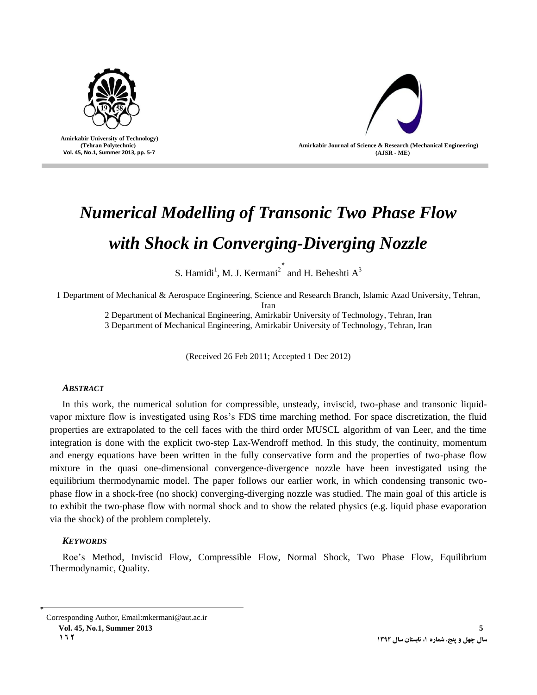

 **Amirkabir University of Technology) (Tehran Polytechnic) Vol. 45, No.1, Summer 2013, pp. 5-7**



# *Numerical Modelling of Transonic Two Phase Flow with Shock in Converging-Diverging Nozzle*

S. Hamidi<sup>1</sup>, M. J. Kermani<sup>2\*</sup> and H. Beheshti A<sup>3</sup>

1 Department of Mechanical & Aerospace Engineering, Science and Research Branch, Islamic Azad University, Tehran, Iran

2 Department of Mechanical Engineering, Amirkabir University of Technology, Tehran, Iran

3 Department of Mechanical Engineering, Amirkabir University of Technology, Tehran, Iran

(Received 26 Feb 2011; Accepted 1 Dec 2012)

## *ABSTRACT*

In this work, the numerical solution for compressible, unsteady, inviscid, two-phase and transonic liquidvapor mixture flow is investigated using Ros's FDS time marching method. For space discretization, the fluid properties are extrapolated to the cell faces with the third order MUSCL algorithm of van Leer, and the time integration is done with the explicit two-step Lax-Wendroff method. In this study, the continuity, momentum and energy equations have been written in the fully conservative form and the properties of two-phase flow mixture in the quasi one-dimensional convergence-divergence nozzle have been investigated using the equilibrium thermodynamic model. The paper follows our earlier work, in which condensing transonic twophase flow in a shock-free (no shock) converging-diverging nozzle was studied. The main goal of this article is to exhibit the two-phase flow with normal shock and to show the related physics (e.g. liquid phase evaporation via the shock) of the problem completely.

# *KEYWORDS*

Roe's Method, Inviscid Flow, Compressible Flow, Normal Shock, Two Phase Flow, Equilibrium Thermodynamic, Quality.

٭ Corresponding Author, Email:mkermani@aut.ac.ir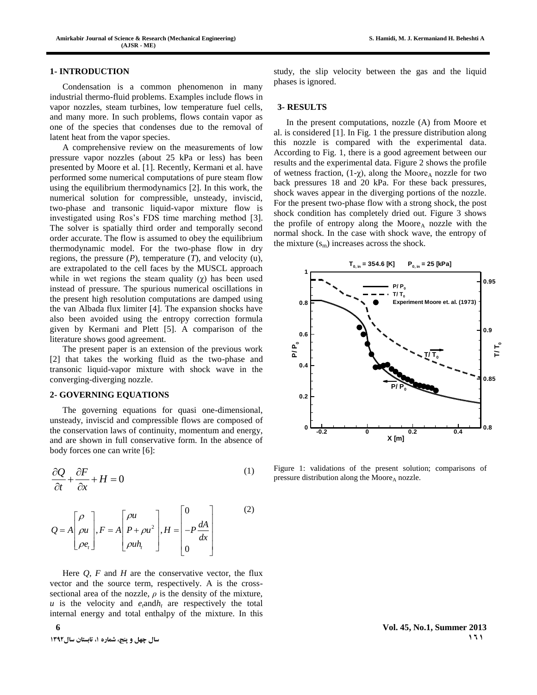#### **1- INTRODUCTION**

Condensation is a common phenomenon in many industrial thermo-fluid problems. Examples include flows in vapor nozzles, steam turbines, low temperature fuel cells, and many more. In such problems, flows contain vapor as one of the species that condenses due to the removal of latent heat from the vapor species.

A comprehensive review on the measurements of low pressure vapor nozzles (about 25 kPa or less) has been presented by Moore et al. [1]. Recently, Kermani et al. have performed some numerical computations of pure steam flow using the equilibrium thermodynamics [2]. In this work, the numerical solution for compressible, unsteady, inviscid, two-phase and transonic liquid-vapor mixture flow is investigated using Ros's FDS time marching method [3]. The solver is spatially third order and temporally second order accurate. The flow is assumed to obey the equilibrium thermodynamic model. For the two-phase flow in dry regions, the pressure  $(P)$ , temperature  $(T)$ , and velocity  $(u)$ , are extrapolated to the cell faces by the MUSCL approach while in wet regions the steam quality  $(\chi)$  has been used instead of pressure. The spurious numerical oscillations in the present high resolution computations are damped using the van Albada flux limiter [4]. The expansion shocks have also been avoided using the entropy correction formula given by Kermani and Plett [5]. A comparison of the literature shows good agreement.

The present paper is an extension of the previous work [2] that takes the working fluid as the two-phase and transonic liquid-vapor mixture with shock wave in the converging-diverging nozzle.

#### **2- GOVERNING EQUATIONS**

The governing equations for quasi one-dimensional, unsteady, inviscid and compressible flows are composed of the conservation laws of continuity, momentum and energy, and are shown in full conservative form. In the absence of body forces one can write [6]:

$$
\frac{\partial Q}{\partial t} + \frac{\partial F}{\partial x} + H = 0
$$
 (1)

$$
Q = A \begin{bmatrix} \rho \\ \rho u \\ \rho e_t \end{bmatrix}, F = A \begin{bmatrix} \rho u \\ P + \rho u^2 \\ \rho u h_t \end{bmatrix}, H = \begin{bmatrix} 0 \\ -P \frac{dA}{dx} \\ 0 \end{bmatrix}
$$
 (2)

Here  $Q$ ,  $F$  and  $H$  are the conservative vector, the flux vector and the source term, respectively. A is the crosssectional area of the nozzle,  $\rho$  is the density of the mixture,  $u$  is the velocity and  $e_i$  and  $h_t$  are respectively the total internal energy and total enthalpy of the mixture. In this study, the slip velocity between the gas and the liquid phases is ignored.

## **3- RESULTS**

In the present computations, nozzle (A) from Moore et al. is considered [1]. In Fig. 1 the pressure distribution along this nozzle is compared with the experimental data. According to Fig. 1, there is a good agreement between our results and the experimental data. Figure 2 shows the profile of wetness fraction,  $(1-\chi)$ , along the Moore<sub>A</sub> nozzle for two back pressures 18 and 20 kPa. For these back pressures, shock waves appear in the diverging portions of the nozzle. For the present two-phase flow with a strong shock, the post shock condition has completely dried out. Figure 3 shows the profile of entropy along the Moore $_A$  nozzle with the normal shock. In the case with shock wave, the entropy of the mixture  $(s_m)$  increases across the shock.



Figure 1: validations of the present solution; comparisons of pressure distribution along the  $Moore<sub>A</sub>$  nozzle.

**6 Vol. 45, No.1, Summer 2013 121 121 121 121 121 121 121 121 121 121 121 121 121 121 121 121**